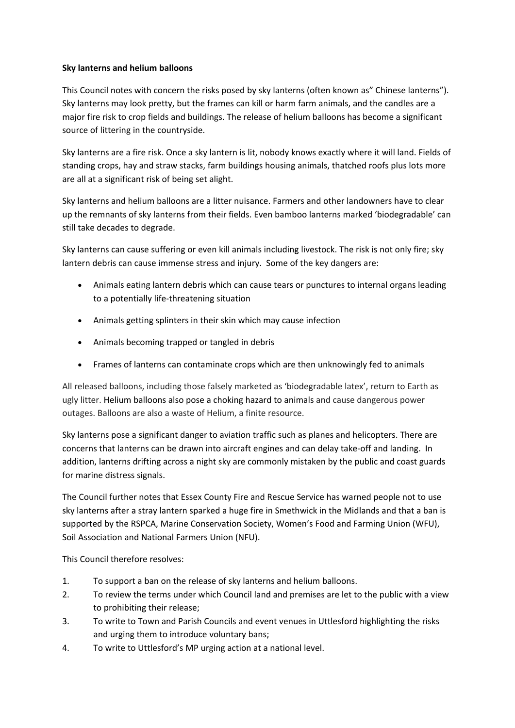## **Sky lanterns and helium balloons**

This Council notes with concern the risks posed by sky lanterns (often known as" Chinese lanterns"). Sky lanterns may look pretty, but the frames can kill or harm farm animals, and the candles are a major fire risk to crop fields and buildings. The release of helium balloons has become a significant source of littering in the countryside.

Sky lanterns are a fire risk. Once a sky lantern is lit, nobody knows exactly where it will land. Fields of standing crops, hay and straw stacks, farm buildings housing animals, thatched roofs plus lots more are all at a significant risk of being set alight.

Sky lanterns and helium balloons are a litter nuisance. Farmers and other landowners have to clear up the remnants of sky lanterns from their fields. Even bamboo lanterns marked 'biodegradable' can still take decades to degrade.

Sky lanterns can cause suffering or even kill animals including livestock. The risk is not only fire; sky lantern debris can cause immense stress and injury. Some of the key dangers are:

- Animals eating lantern debris which can cause tears or punctures to internal organs leading to a potentially life-threatening situation
- Animals getting splinters in their skin which may cause infection
- Animals becoming trapped or tangled in debris
- Frames of lanterns can contaminate crops which are then unknowingly fed to animals

All released balloons, including those falsely marketed as 'biodegradable latex', return to Earth as ugly litter. Helium balloons also pose a choking hazard to animals and cause dangerous power outages. Balloons are also a waste of Helium, a finite resource.

Sky lanterns pose a significant danger to aviation traffic such as planes and helicopters. There are concerns that lanterns can be drawn into aircraft engines and can delay take-off and landing. In addition, lanterns drifting across a night sky are commonly mistaken by the public and coast guards for marine distress signals.

The Council further notes that Essex County Fire and Rescue Service has warned people not to use sky lanterns after a stray lantern sparked a huge fire in Smethwick in the Midlands and that a ban is supported by the RSPCA, Marine Conservation Society, Women's Food and Farming Union (WFU), Soil Association and National Farmers Union (NFU).

This Council therefore resolves:

- 1. To support a ban on the release of sky lanterns and helium balloons.
- 2. To review the terms under which Council land and premises are let to the public with a view to prohibiting their release;
- 3. To write to Town and Parish Councils and event venues in Uttlesford highlighting the risks and urging them to introduce voluntary bans;
- 4. To write to Uttlesford's MP urging action at a national level.